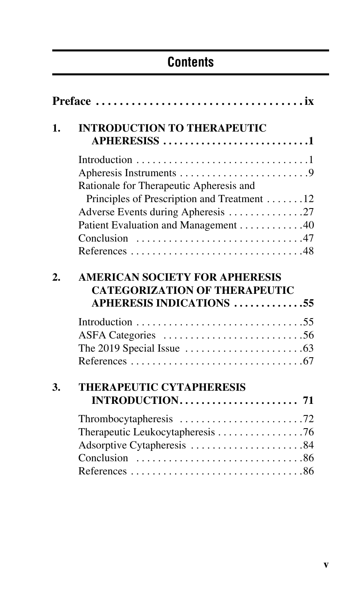## **Contents**

| 1.               | <b>INTRODUCTION TO THERAPEUTIC</b><br>APHERESISS 1                                                               |
|------------------|------------------------------------------------------------------------------------------------------------------|
|                  |                                                                                                                  |
|                  |                                                                                                                  |
|                  | Rationale for Therapeutic Apheresis and                                                                          |
|                  | Principles of Prescription and Treatment 12                                                                      |
|                  | Adverse Events during Apheresis 27                                                                               |
|                  | Patient Evaluation and Management 40                                                                             |
|                  |                                                                                                                  |
|                  |                                                                                                                  |
| $\overline{2}$ . | <b>AMERICAN SOCIETY FOR APHERESIS</b><br><b>CATEGORIZATION OF THERAPEUTIC</b><br><b>APHERESIS INDICATIONS 55</b> |
|                  |                                                                                                                  |
|                  |                                                                                                                  |
|                  |                                                                                                                  |
|                  | The 2019 Special Issue $\ldots \ldots \ldots \ldots \ldots \ldots \ldots$                                        |
|                  |                                                                                                                  |
| 3.               | THERAPEUTIC CYTAPHERESIS                                                                                         |
|                  |                                                                                                                  |
|                  |                                                                                                                  |
|                  | Therapeutic Leukocytapheresis 76                                                                                 |
|                  | Adsorptive Cytapheresis 84                                                                                       |
|                  |                                                                                                                  |
|                  |                                                                                                                  |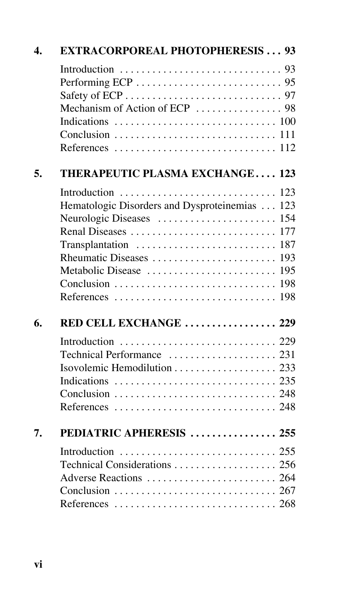| $\boldsymbol{\Lambda}$ . | <b>EXTRACORPOREAL PHOTOPHERESIS 93</b>        |
|--------------------------|-----------------------------------------------|
|                          |                                               |
|                          |                                               |
|                          |                                               |
|                          |                                               |
| 5.                       | <b>THERAPEUTIC PLASMA EXCHANGE 123</b>        |
|                          |                                               |
|                          | Hematologic Disorders and Dysproteinemias 123 |
|                          |                                               |
|                          |                                               |
|                          |                                               |
|                          |                                               |
|                          |                                               |
|                          |                                               |
|                          |                                               |
| 6.                       | RED CELL EXCHANGE  229                        |
|                          |                                               |
|                          |                                               |
|                          |                                               |
|                          |                                               |
|                          |                                               |
|                          |                                               |
| 7.                       | PEDIATRIC APHERESIS  255                      |
|                          |                                               |
|                          |                                               |
|                          |                                               |
|                          |                                               |
|                          |                                               |